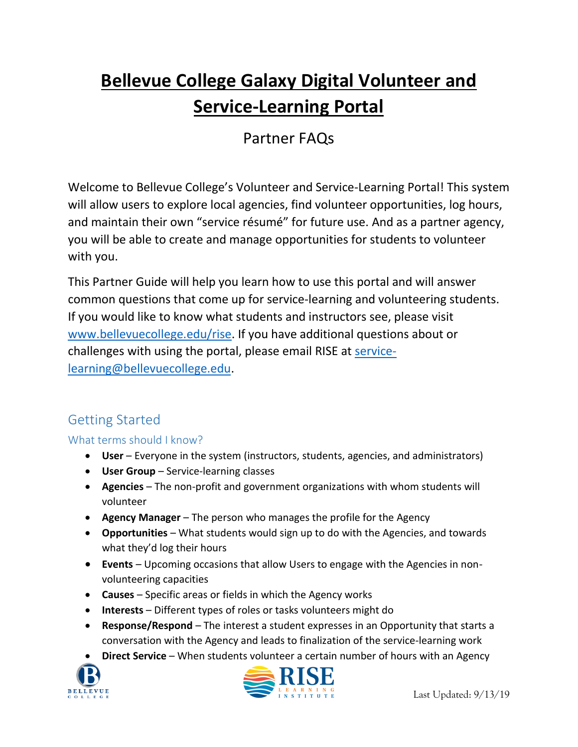# **Bellevue College Galaxy Digital Volunteer and Service-Learning Portal**

## Partner FAQs

Welcome to Bellevue College's Volunteer and Service-Learning Portal! This system will allow users to explore local agencies, find volunteer opportunities, log hours, and maintain their own "service résumé" for future use. And as a partner agency, you will be able to create and manage opportunities for students to volunteer with you.

This Partner Guide will help you learn how to use this portal and will answer common questions that come up for service-learning and volunteering students. If you would like to know what students and instructors see, please visit [www.bellevuecollege.edu/rise.](http://www.bellevuecollege.edu/rise) If you have additional questions about or challenges with using the portal, please email RISE at [service](mailto:service-learning@bellevuecollege.edu)[learning@bellevuecollege.edu.](mailto:service-learning@bellevuecollege.edu)

## Getting Started

## What terms should I know?

- **User** Everyone in the system (instructors, students, agencies, and administrators)
- **User Group** Service-learning classes
- **Agencies**  The non-profit and government organizations with whom students will volunteer
- **Agency Manager** The person who manages the profile for the Agency
- **Opportunities**  What students would sign up to do with the Agencies, and towards what they'd log their hours
- **Events** Upcoming occasions that allow Users to engage with the Agencies in nonvolunteering capacities
- **Causes** Specific areas or fields in which the Agency works
- **Interests** Different types of roles or tasks volunteers might do
- **Response/Respond** The interest a student expresses in an Opportunity that starts a conversation with the Agency and leads to finalization of the service-learning work
- **Direct Service** When students volunteer a certain number of hours with an Agency



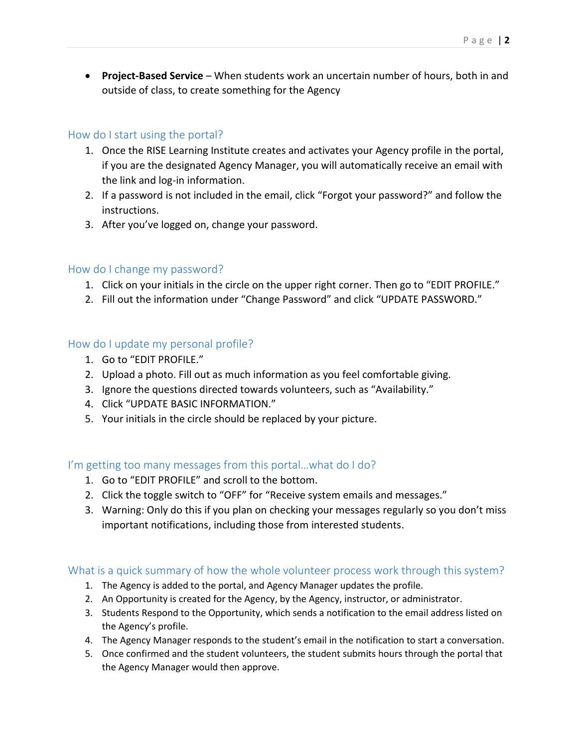**Project-Based Service** – When students work an uncertain number of hours, both in and outside of class, to create something for the Agency

#### How do I start using the portal?

- 1. Once the RISE Learning Institute creates and activates your Agency profile in the portal, if you are the designated Agency Manager, you will automatically receive an email with the link and log-in information.
- 2. If a password is not included in the email, click "Forgot your password?" and follow the instructions.
- 3. After you've logged on, change your password.

#### How do I change my password?

- 1. Click on your initials in the circle on the upper right corner. Then go to "EDIT PROFILE."
- 2. Fill out the information under "Change Password" and click "UPDATE PASSWORD."

#### How do I update my personal profile?

- 1. Go to "EDIT PROFILE."
- 2. Upload a photo. Fill out as much information as you feel comfortable giving.
- 3. Ignore the questions directed towards volunteers, such as "Availability."
- 4. Click "UPDATE BASIC INFORMATION."
- 5. Your initials in the circle should be replaced by your picture.

#### I'm getting too many messages from this portal…what do I do?

- 1. Go to "EDIT PROFILE" and scroll to the bottom.
- 2. Click the toggle switch to "OFF" for "Receive system emails and messages."
- 3. Warning: Only do this if you plan on checking your messages regularly so you don't miss important notifications, including those from interested students.

#### What is a quick summary of how the whole volunteer process work through this system?

- 1. The Agency is added to the portal, and Agency Manager updates the profile.
- 2. An Opportunity is created for the Agency, by the Agency, instructor, or administrator.
- 3. Students Respond to the Opportunity, which sends a notification to the email address listed on the Agency's profile.
- 4. The Agency Manager responds to the student's email in the notification to start a conversation.
- 5. Once confirmed and the student volunteers, the student submits hours through the portal that the Agency Manager would then approve.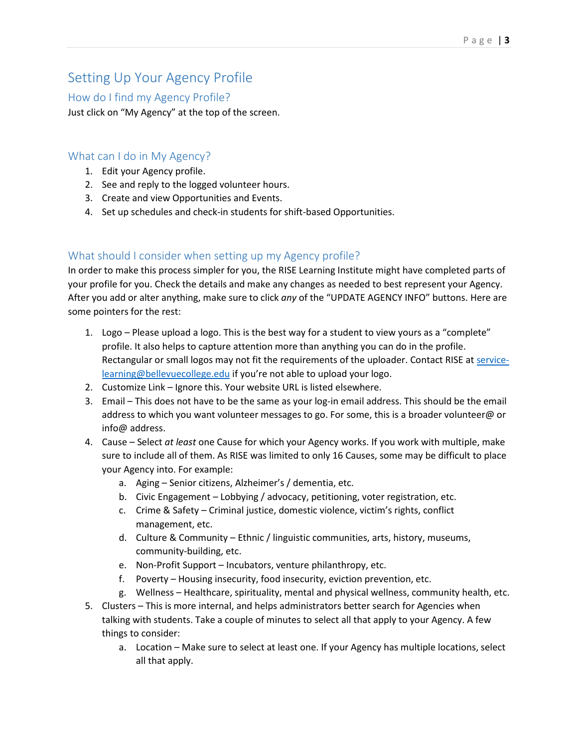## Setting Up Your Agency Profile

#### How do I find my Agency Profile?

Just click on "My Agency" at the top of the screen.

#### What can I do in My Agency?

- 1. Edit your Agency profile.
- 2. See and reply to the logged volunteer hours.
- 3. Create and view Opportunities and Events.
- 4. Set up schedules and check-in students for shift-based Opportunities.

#### What should I consider when setting up my Agency profile?

In order to make this process simpler for you, the RISE Learning Institute might have completed parts of your profile for you. Check the details and make any changes as needed to best represent your Agency. After you add or alter anything, make sure to click *any* of the "UPDATE AGENCY INFO" buttons. Here are some pointers for the rest:

- 1. Logo Please upload a logo. This is the best way for a student to view yours as a "complete" profile. It also helps to capture attention more than anything you can do in the profile. Rectangular or small logos may not fit the requirements of the uploader. Contact RISE at [service](mailto:service-learning@bellevuecollege.edu)[learning@bellevuecollege.edu](mailto:service-learning@bellevuecollege.edu) if you're not able to upload your logo.
- 2. Customize Link Ignore this. Your website URL is listed elsewhere.
- 3. Email This does not have to be the same as your log-in email address. This should be the email address to which you want volunteer messages to go. For some, this is a broader volunteer@ or info@ address.
- 4. Cause Select *at least* one Cause for which your Agency works. If you work with multiple, make sure to include all of them. As RISE was limited to only 16 Causes, some may be difficult to place your Agency into. For example:
	- a. Aging Senior citizens, Alzheimer's / dementia, etc.
	- b. Civic Engagement Lobbying / advocacy, petitioning, voter registration, etc.
	- c. Crime & Safety Criminal justice, domestic violence, victim's rights, conflict management, etc.
	- d. Culture & Community Ethnic / linguistic communities, arts, history, museums, community-building, etc.
	- e. Non-Profit Support Incubators, venture philanthropy, etc.
	- f. Poverty Housing insecurity, food insecurity, eviction prevention, etc.
	- g. Wellness Healthcare, spirituality, mental and physical wellness, community health, etc.
- 5. Clusters This is more internal, and helps administrators better search for Agencies when talking with students. Take a couple of minutes to select all that apply to your Agency. A few things to consider:
	- a. Location Make sure to select at least one. If your Agency has multiple locations, select all that apply.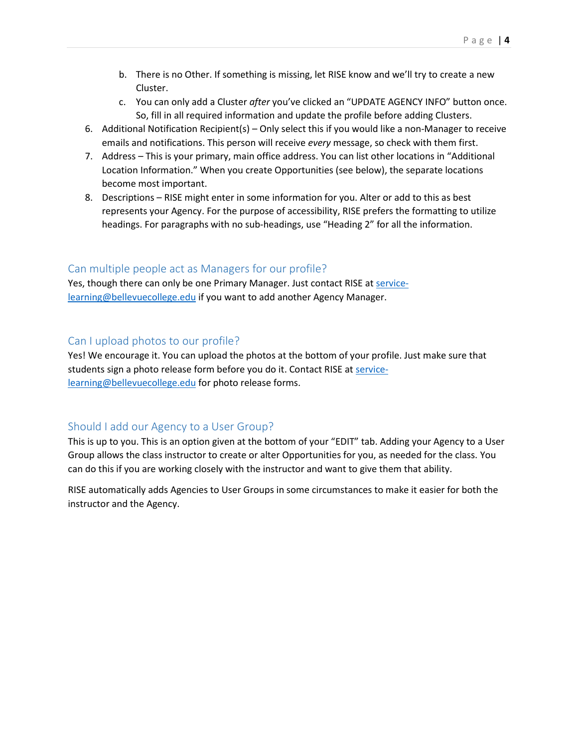- b. There is no Other. If something is missing, let RISE know and we'll try to create a new Cluster.
- c. You can only add a Cluster *after* you've clicked an "UPDATE AGENCY INFO" button once. So, fill in all required information and update the profile before adding Clusters.
- 6. Additional Notification Recipient(s) Only select this if you would like a non-Manager to receive emails and notifications. This person will receive *every* message, so check with them first.
- 7. Address This is your primary, main office address. You can list other locations in "Additional Location Information." When you create Opportunities (see below), the separate locations become most important.
- 8. Descriptions RISE might enter in some information for you. Alter or add to this as best represents your Agency. For the purpose of accessibility, RISE prefers the formatting to utilize headings. For paragraphs with no sub-headings, use "Heading 2" for all the information.

#### Can multiple people act as Managers for our profile?

Yes, though there can only be one Primary Manager. Just contact RISE at [service](mailto:service-learning@bellevuecollege.edu)[learning@bellevuecollege.edu](mailto:service-learning@bellevuecollege.edu) if you want to add another Agency Manager.

#### Can I upload photos to our profile?

Yes! We encourage it. You can upload the photos at the bottom of your profile. Just make sure that students sign a photo release form before you do it. Contact RISE at [service](mailto:service-learning@bellevuecollege.edu)[learning@bellevuecollege.edu](mailto:service-learning@bellevuecollege.edu) for photo release forms.

#### Should I add our Agency to a User Group?

This is up to you. This is an option given at the bottom of your "EDIT" tab. Adding your Agency to a User Group allows the class instructor to create or alter Opportunities for you, as needed for the class. You can do this if you are working closely with the instructor and want to give them that ability.

RISE automatically adds Agencies to User Groups in some circumstances to make it easier for both the instructor and the Agency.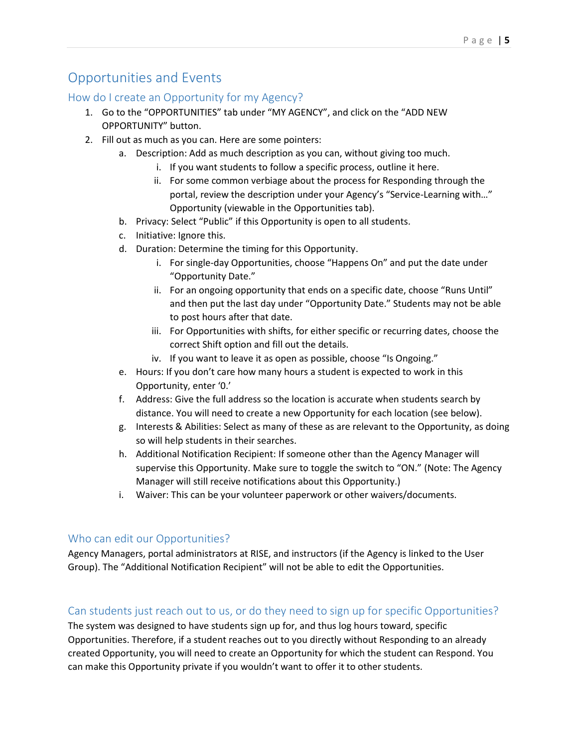## Opportunities and Events

#### How do I create an Opportunity for my Agency?

- 1. Go to the "OPPORTUNITIES" tab under "MY AGENCY", and click on the "ADD NEW OPPORTUNITY" button.
- 2. Fill out as much as you can. Here are some pointers:
	- a. Description: Add as much description as you can, without giving too much.
		- i. If you want students to follow a specific process, outline it here.
		- ii. For some common verbiage about the process for Responding through the portal, review the description under your Agency's "Service-Learning with…" Opportunity (viewable in the Opportunities tab).
	- b. Privacy: Select "Public" if this Opportunity is open to all students.
	- c. Initiative: Ignore this.
	- d. Duration: Determine the timing for this Opportunity.
		- i. For single-day Opportunities, choose "Happens On" and put the date under "Opportunity Date."
		- ii. For an ongoing opportunity that ends on a specific date, choose "Runs Until" and then put the last day under "Opportunity Date." Students may not be able to post hours after that date.
		- iii. For Opportunities with shifts, for either specific or recurring dates, choose the correct Shift option and fill out the details.
		- iv. If you want to leave it as open as possible, choose "Is Ongoing."
	- e. Hours: If you don't care how many hours a student is expected to work in this Opportunity, enter '0.'
	- f. Address: Give the full address so the location is accurate when students search by distance. You will need to create a new Opportunity for each location (see below).
	- g. Interests & Abilities: Select as many of these as are relevant to the Opportunity, as doing so will help students in their searches.
	- h. Additional Notification Recipient: If someone other than the Agency Manager will supervise this Opportunity. Make sure to toggle the switch to "ON." (Note: The Agency Manager will still receive notifications about this Opportunity.)
	- i. Waiver: This can be your volunteer paperwork or other waivers/documents.

#### Who can edit our Opportunities?

Agency Managers, portal administrators at RISE, and instructors (if the Agency is linked to the User Group). The "Additional Notification Recipient" will not be able to edit the Opportunities.

#### Can students just reach out to us, or do they need to sign up for specific Opportunities?

The system was designed to have students sign up for, and thus log hours toward, specific Opportunities. Therefore, if a student reaches out to you directly without Responding to an already created Opportunity, you will need to create an Opportunity for which the student can Respond. You can make this Opportunity private if you wouldn't want to offer it to other students.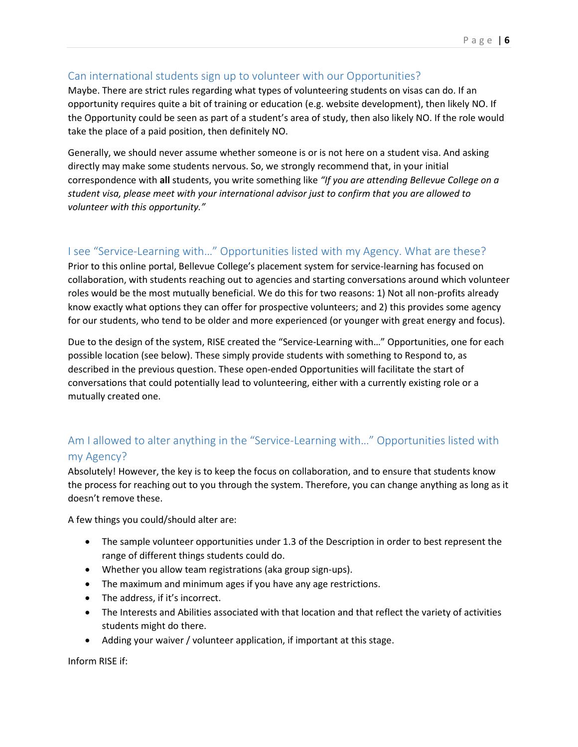#### Can international students sign up to volunteer with our Opportunities?

Maybe. There are strict rules regarding what types of volunteering students on visas can do. If an opportunity requires quite a bit of training or education (e.g. website development), then likely NO. If the Opportunity could be seen as part of a student's area of study, then also likely NO. If the role would take the place of a paid position, then definitely NO.

Generally, we should never assume whether someone is or is not here on a student visa. And asking directly may make some students nervous. So, we strongly recommend that, in your initial correspondence with **all** students, you write something like *"If you are attending Bellevue College on a student visa, please meet with your international advisor just to confirm that you are allowed to volunteer with this opportunity."*

#### I see "Service-Learning with…" Opportunities listed with my Agency. What are these?

Prior to this online portal, Bellevue College's placement system for service-learning has focused on collaboration, with students reaching out to agencies and starting conversations around which volunteer roles would be the most mutually beneficial. We do this for two reasons: 1) Not all non-profits already know exactly what options they can offer for prospective volunteers; and 2) this provides some agency for our students, who tend to be older and more experienced (or younger with great energy and focus).

Due to the design of the system, RISE created the "Service-Learning with…" Opportunities, one for each possible location (see below). These simply provide students with something to Respond to, as described in the previous question. These open-ended Opportunities will facilitate the start of conversations that could potentially lead to volunteering, either with a currently existing role or a mutually created one.

#### Am I allowed to alter anything in the "Service-Learning with…" Opportunities listed with my Agency?

Absolutely! However, the key is to keep the focus on collaboration, and to ensure that students know the process for reaching out to you through the system. Therefore, you can change anything as long as it doesn't remove these.

A few things you could/should alter are:

- The sample volunteer opportunities under 1.3 of the Description in order to best represent the range of different things students could do.
- Whether you allow team registrations (aka group sign-ups).
- The maximum and minimum ages if you have any age restrictions.
- The address, if it's incorrect.
- The Interests and Abilities associated with that location and that reflect the variety of activities students might do there.
- Adding your waiver / volunteer application, if important at this stage.

Inform RISE if: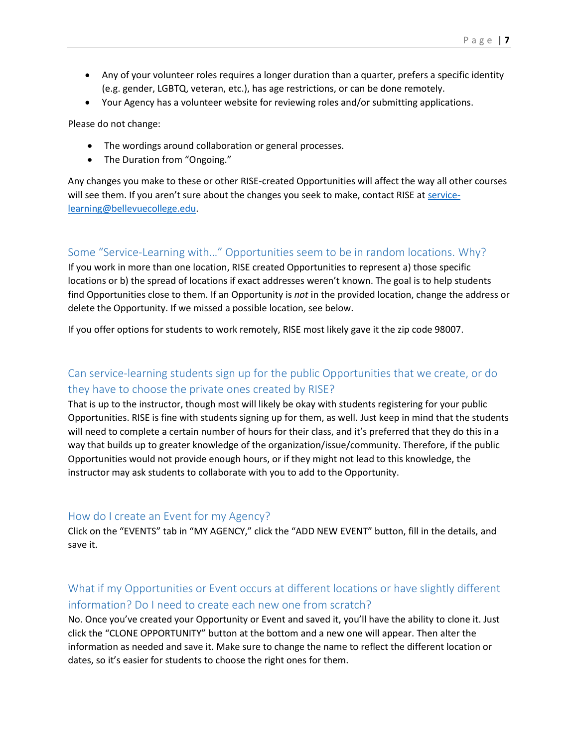- Any of your volunteer roles requires a longer duration than a quarter, prefers a specific identity (e.g. gender, LGBTQ, veteran, etc.), has age restrictions, or can be done remotely.
- Your Agency has a volunteer website for reviewing roles and/or submitting applications.

Please do not change:

- The wordings around collaboration or general processes.
- The Duration from "Ongoing."

Any changes you make to these or other RISE-created Opportunities will affect the way all other courses will see them. If you aren't sure about the changes you seek to make, contact RISE at [service](mailto:service-learning@bellevuecollege.edu)[learning@bellevuecollege.edu.](mailto:service-learning@bellevuecollege.edu)

#### Some "Service-Learning with…" Opportunities seem to be in random locations. Why?

If you work in more than one location, RISE created Opportunities to represent a) those specific locations or b) the spread of locations if exact addresses weren't known. The goal is to help students find Opportunities close to them. If an Opportunity is *not* in the provided location, change the address or delete the Opportunity. If we missed a possible location, see below.

If you offer options for students to work remotely, RISE most likely gave it the zip code 98007.

#### Can service-learning students sign up for the public Opportunities that we create, or do they have to choose the private ones created by RISE?

That is up to the instructor, though most will likely be okay with students registering for your public Opportunities. RISE is fine with students signing up for them, as well. Just keep in mind that the students will need to complete a certain number of hours for their class, and it's preferred that they do this in a way that builds up to greater knowledge of the organization/issue/community. Therefore, if the public Opportunities would not provide enough hours, or if they might not lead to this knowledge, the instructor may ask students to collaborate with you to add to the Opportunity.

#### How do I create an Event for my Agency?

Click on the "EVENTS" tab in "MY AGENCY," click the "ADD NEW EVENT" button, fill in the details, and save it.

#### What if my Opportunities or Event occurs at different locations or have slightly different information? Do I need to create each new one from scratch?

No. Once you've created your Opportunity or Event and saved it, you'll have the ability to clone it. Just click the "CLONE OPPORTUNITY" button at the bottom and a new one will appear. Then alter the information as needed and save it. Make sure to change the name to reflect the different location or dates, so it's easier for students to choose the right ones for them.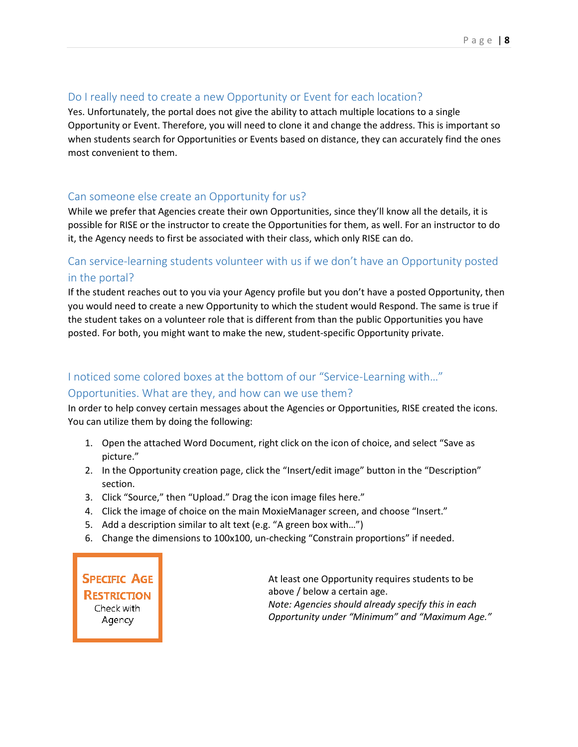#### Do I really need to create a new Opportunity or Event for each location?

Yes. Unfortunately, the portal does not give the ability to attach multiple locations to a single Opportunity or Event. Therefore, you will need to clone it and change the address. This is important so when students search for Opportunities or Events based on distance, they can accurately find the ones most convenient to them.

#### Can someone else create an Opportunity for us?

While we prefer that Agencies create their own Opportunities, since they'll know all the details, it is possible for RISE or the instructor to create the Opportunities for them, as well. For an instructor to do it, the Agency needs to first be associated with their class, which only RISE can do.

#### Can service-learning students volunteer with us if we don't have an Opportunity posted in the portal?

If the student reaches out to you via your Agency profile but you don't have a posted Opportunity, then you would need to create a new Opportunity to which the student would Respond. The same is true if the student takes on a volunteer role that is different from than the public Opportunities you have posted. For both, you might want to make the new, student-specific Opportunity private.

## I noticed some colored boxes at the bottom of our "Service-Learning with…" Opportunities. What are they, and how can we use them?

In order to help convey certain messages about the Agencies or Opportunities, RISE created the icons. You can utilize them by doing the following:

- 1. Open the attached Word Document, right click on the icon of choice, and select "Save as picture."
- 2. In the Opportunity creation page, click the "Insert/edit image" button in the "Description" section.
- 3. Click "Source," then "Upload." Drag the icon image files here."
- 4. Click the image of choice on the main MoxieManager screen, and choose "Insert."
- 5. Add a description similar to alt text (e.g. "A green box with…")
- 6. Change the dimensions to 100x100, un-checking "Constrain proportions" if needed.

**SPECIFIC AGE RESTRICTION** Check with Agency

At least one Opportunity requires students to be above / below a certain age. *Note: Agencies should already specify this in each Opportunity under "Minimum" and "Maximum Age."*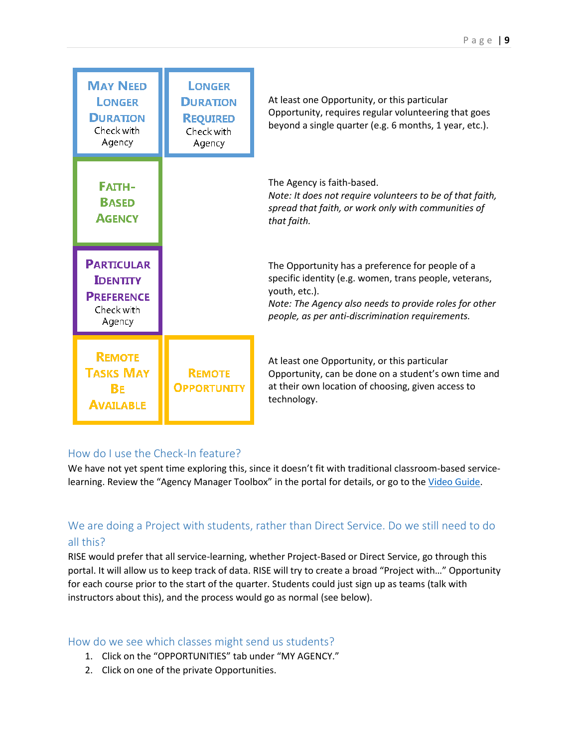| <b>MAY NEED</b><br><b>LONGER</b><br><b>DURATION</b><br>Check with<br>Agency       | <b>LONGER</b><br><b>DURATION</b><br><b>REQUIRED</b><br>Check with<br>Agency | At least one Opportunity, or this particular<br>Opportunity, requires regular volunteering that goes<br>beyond a single quarter (e.g. 6 months, 1 year, etc.).                                                                            |
|-----------------------------------------------------------------------------------|-----------------------------------------------------------------------------|-------------------------------------------------------------------------------------------------------------------------------------------------------------------------------------------------------------------------------------------|
| <b>FATTH-</b><br><b>BASED</b><br><b>AGENCY</b>                                    |                                                                             | The Agency is faith-based.<br>Note: It does not require volunteers to be of that faith,<br>spread that faith, or work only with communities of<br>that faith.                                                                             |
|                                                                                   |                                                                             |                                                                                                                                                                                                                                           |
| <b>PARTICULAR</b><br><b>IDENTITY</b><br><b>PREFERENCE</b><br>Check with<br>Agency |                                                                             | The Opportunity has a preference for people of a<br>specific identity (e.g. women, trans people, veterans,<br>youth, etc.).<br>Note: The Agency also needs to provide roles for other<br>people, as per anti-discrimination requirements. |

#### How do I use the Check-In feature?

We have not yet spent time exploring this, since it doesn't fit with traditional classroom-based service-learning. Review the "Agency Manager Toolbox" in the portal for details, or go to the [Video Guide.](https://galaxydigital.freshdesk.com/support/solutions/articles/36000077897-the-check-in-kiosk-video-guide)

#### We are doing a Project with students, rather than Direct Service. Do we still need to do all this?

RISE would prefer that all service-learning, whether Project-Based or Direct Service, go through this portal. It will allow us to keep track of data. RISE will try to create a broad "Project with…" Opportunity for each course prior to the start of the quarter. Students could just sign up as teams (talk with instructors about this), and the process would go as normal (see below).

#### How do we see which classes might send us students?

- 1. Click on the "OPPORTUNITIES" tab under "MY AGENCY."
- 2. Click on one of the private Opportunities.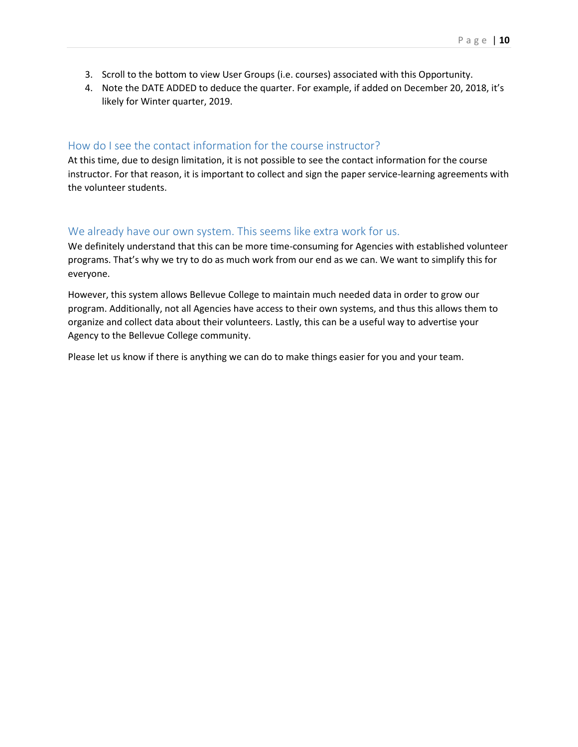- 3. Scroll to the bottom to view User Groups (i.e. courses) associated with this Opportunity.
- 4. Note the DATE ADDED to deduce the quarter. For example, if added on December 20, 2018, it's likely for Winter quarter, 2019.

#### How do I see the contact information for the course instructor?

At this time, due to design limitation, it is not possible to see the contact information for the course instructor. For that reason, it is important to collect and sign the paper service-learning agreements with the volunteer students.

#### We already have our own system. This seems like extra work for us.

We definitely understand that this can be more time-consuming for Agencies with established volunteer programs. That's why we try to do as much work from our end as we can. We want to simplify this for everyone.

However, this system allows Bellevue College to maintain much needed data in order to grow our program. Additionally, not all Agencies have access to their own systems, and thus this allows them to organize and collect data about their volunteers. Lastly, this can be a useful way to advertise your Agency to the Bellevue College community.

Please let us know if there is anything we can do to make things easier for you and your team.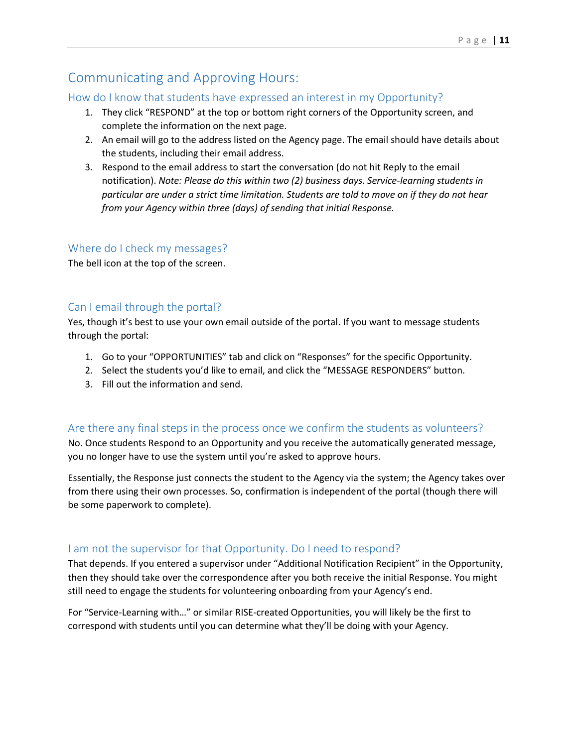## Communicating and Approving Hours:

#### How do I know that students have expressed an interest in my Opportunity?

- 1. They click "RESPOND" at the top or bottom right corners of the Opportunity screen, and complete the information on the next page.
- 2. An email will go to the address listed on the Agency page. The email should have details about the students, including their email address.
- 3. Respond to the email address to start the conversation (do not hit Reply to the email notification). *Note: Please do this within two (2) business days. Service-learning students in particular are under a strict time limitation. Students are told to move on if they do not hear from your Agency within three (days) of sending that initial Response.*

#### Where do I check my messages?

The bell icon at the top of the screen.

#### Can I email through the portal?

Yes, though it's best to use your own email outside of the portal. If you want to message students through the portal:

- 1. Go to your "OPPORTUNITIES" tab and click on "Responses" for the specific Opportunity.
- 2. Select the students you'd like to email, and click the "MESSAGE RESPONDERS" button.
- 3. Fill out the information and send.

#### Are there any final steps in the process once we confirm the students as volunteers?

No. Once students Respond to an Opportunity and you receive the automatically generated message, you no longer have to use the system until you're asked to approve hours.

Essentially, the Response just connects the student to the Agency via the system; the Agency takes over from there using their own processes. So, confirmation is independent of the portal (though there will be some paperwork to complete).

#### I am not the supervisor for that Opportunity. Do I need to respond?

That depends. If you entered a supervisor under "Additional Notification Recipient" in the Opportunity, then they should take over the correspondence after you both receive the initial Response. You might still need to engage the students for volunteering onboarding from your Agency's end.

For "Service-Learning with…" or similar RISE-created Opportunities, you will likely be the first to correspond with students until you can determine what they'll be doing with your Agency.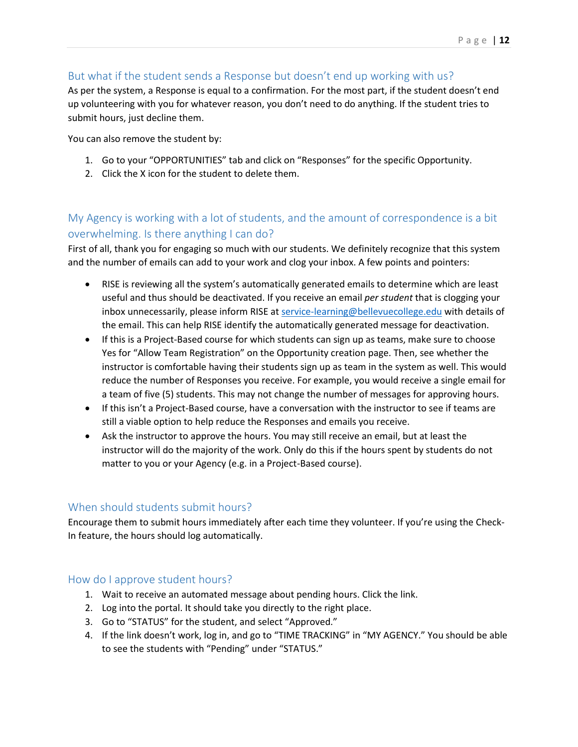#### But what if the student sends a Response but doesn't end up working with us?

As per the system, a Response is equal to a confirmation. For the most part, if the student doesn't end up volunteering with you for whatever reason, you don't need to do anything. If the student tries to submit hours, just decline them.

You can also remove the student by:

- 1. Go to your "OPPORTUNITIES" tab and click on "Responses" for the specific Opportunity.
- 2. Click the X icon for the student to delete them.

#### My Agency is working with a lot of students, and the amount of correspondence is a bit overwhelming. Is there anything I can do?

First of all, thank you for engaging so much with our students. We definitely recognize that this system and the number of emails can add to your work and clog your inbox. A few points and pointers:

- RISE is reviewing all the system's automatically generated emails to determine which are least useful and thus should be deactivated. If you receive an email *per student* that is clogging your inbox unnecessarily, please inform RISE at [service-learning@bellevuecollege.edu](mailto:service-learning@bellevuecollege.edu) with details of the email. This can help RISE identify the automatically generated message for deactivation.
- If this is a Project-Based course for which students can sign up as teams, make sure to choose Yes for "Allow Team Registration" on the Opportunity creation page. Then, see whether the instructor is comfortable having their students sign up as team in the system as well. This would reduce the number of Responses you receive. For example, you would receive a single email for a team of five (5) students. This may not change the number of messages for approving hours.
- If this isn't a Project-Based course, have a conversation with the instructor to see if teams are still a viable option to help reduce the Responses and emails you receive.
- Ask the instructor to approve the hours. You may still receive an email, but at least the instructor will do the majority of the work. Only do this if the hours spent by students do not matter to you or your Agency (e.g. in a Project-Based course).

#### When should students submit hours?

Encourage them to submit hours immediately after each time they volunteer. If you're using the Check-In feature, the hours should log automatically.

#### How do I approve student hours?

- 1. Wait to receive an automated message about pending hours. Click the link.
- 2. Log into the portal. It should take you directly to the right place.
- 3. Go to "STATUS" for the student, and select "Approved."
- 4. If the link doesn't work, log in, and go to "TIME TRACKING" in "MY AGENCY." You should be able to see the students with "Pending" under "STATUS."